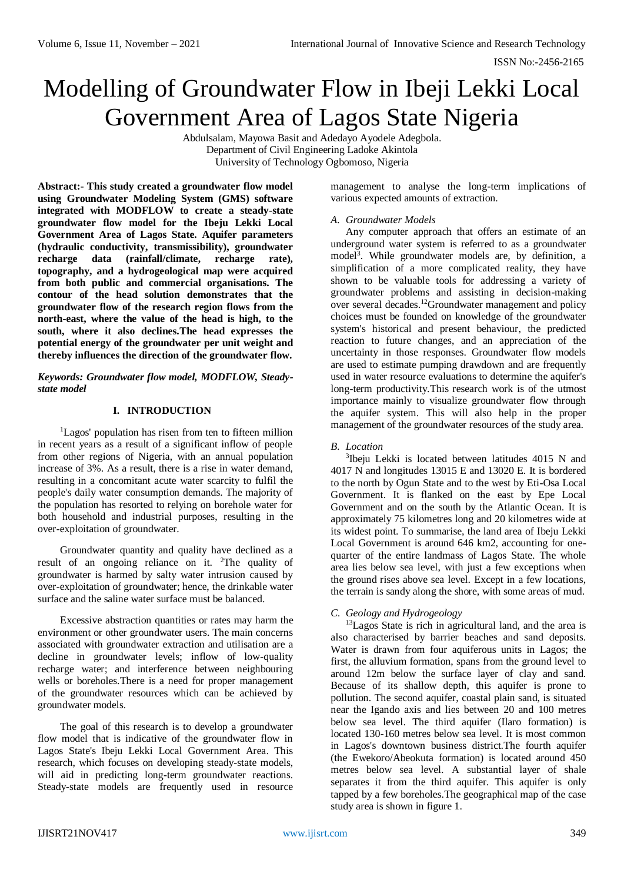# Modelling of Groundwater Flow in Ibeji Lekki Local Government Area of Lagos State Nigeria

Abdulsalam, Mayowa Basit and Adedayo Ayodele Adegbola. Department of Civil Engineering Ladoke Akintola University of Technology Ogbomoso, Nigeria

**Abstract:- This study created a groundwater flow model using Groundwater Modeling System (GMS) software integrated with MODFLOW to create a steady-state groundwater flow model for the Ibeju Lekki Local Government Area of Lagos State. Aquifer parameters (hydraulic conductivity, transmissibility), groundwater recharge data (rainfall/climate, recharge rate), topography, and a hydrogeological map were acquired from both public and commercial organisations. The contour of the head solution demonstrates that the groundwater flow of the research region flows from the north-east, where the value of the head is high, to the south, where it also declines.The head expresses the potential energy of the groundwater per unit weight and thereby influences the direction of the groundwater flow.**

*Keywords: Groundwater flow model, MODFLOW, Steadystate model*

# **I. INTRODUCTION**

<sup>1</sup>Lagos' population has risen from ten to fifteen million in recent years as a result of a significant inflow of people from other regions of Nigeria, with an annual population increase of 3%. As a result, there is a rise in water demand, resulting in a concomitant acute water scarcity to fulfil the people's daily water consumption demands. The majority of the population has resorted to relying on borehole water for both household and industrial purposes, resulting in the over-exploitation of groundwater.

Groundwater quantity and quality have declined as a result of an ongoing reliance on it. <sup>2</sup>The quality of groundwater is harmed by salty water intrusion caused by over-exploitation of groundwater; hence, the drinkable water surface and the saline water surface must be balanced.

Excessive abstraction quantities or rates may harm the environment or other groundwater users. The main concerns associated with groundwater extraction and utilisation are a decline in groundwater levels; inflow of low-quality recharge water; and interference between neighbouring wells or boreholes.There is a need for proper management of the groundwater resources which can be achieved by groundwater models.

The goal of this research is to develop a groundwater flow model that is indicative of the groundwater flow in Lagos State's Ibeju Lekki Local Government Area. This research, which focuses on developing steady-state models, will aid in predicting long-term groundwater reactions. Steady-state models are frequently used in resource

management to analyse the long-term implications of various expected amounts of extraction.

## *A. Groundwater Models*

Any computer approach that offers an estimate of an underground water system is referred to as a groundwater model<sup>3</sup> . While groundwater models are, by definition, a simplification of a more complicated reality, they have shown to be valuable tools for addressing a variety of groundwater problems and assisting in decision-making over several decades.<sup>12</sup>Groundwater management and policy choices must be founded on knowledge of the groundwater system's historical and present behaviour, the predicted reaction to future changes, and an appreciation of the uncertainty in those responses. Groundwater flow models are used to estimate pumping drawdown and are frequently used in water resource evaluations to determine the aquifer's long-term productivity.This research work is of the utmost importance mainly to visualize groundwater flow through the aquifer system. This will also help in the proper management of the groundwater resources of the study area.

## *B. Location*

3 Ibeju Lekki is located between latitudes 4015 N and 4017 N and longitudes 13015 E and 13020 E. It is bordered to the north by Ogun State and to the west by Eti-Osa Local Government. It is flanked on the east by Epe Local Government and on the south by the Atlantic Ocean. It is approximately 75 kilometres long and 20 kilometres wide at its widest point. To summarise, the land area of Ibeju Lekki Local Government is around 646 km2, accounting for onequarter of the entire landmass of Lagos State. The whole area lies below sea level, with just a few exceptions when the ground rises above sea level. Except in a few locations, the terrain is sandy along the shore, with some areas of mud.

## *C. Geology and Hydrogeology*

<sup>13</sup>Lagos State is rich in agricultural land, and the area is also characterised by barrier beaches and sand deposits. Water is drawn from four aquiferous units in Lagos; the first, the alluvium formation, spans from the ground level to around 12m below the surface layer of clay and sand. Because of its shallow depth, this aquifer is prone to pollution. The second aquifer, coastal plain sand, is situated near the Igando axis and lies between 20 and 100 metres below sea level. The third aquifer (Ilaro formation) is located 130-160 metres below sea level. It is most common in Lagos's downtown business district.The fourth aquifer (the Ewekoro/Abeokuta formation) is located around 450 metres below sea level. A substantial layer of shale separates it from the third aquifer. This aquifer is only tapped by a few boreholes.The geographical map of the case study area is shown in figure 1.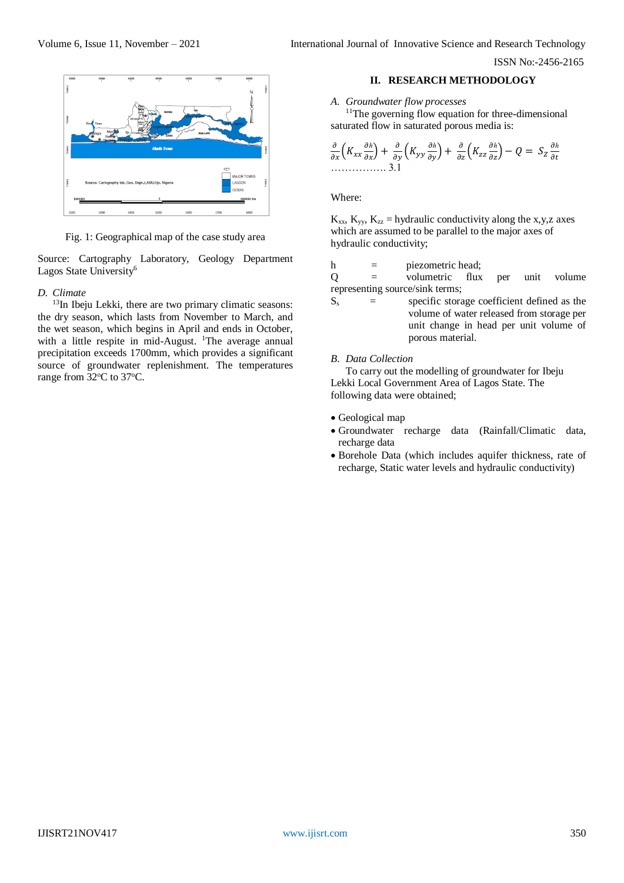

Fig. 1: Geographical map of the case study area

Source: Cartography Laboratory, Geology Department Lagos State University<sup>6</sup>

#### *D. Climate*

<sup>13</sup>In Ibeju Lekki, there are two primary climatic seasons: the dry season, which lasts from November to March, and the wet season, which begins in April and ends in October, with a little respite in mid-August. <sup>1</sup>The average annual precipitation exceeds 1700mm, which provides a significant source of groundwater replenishment. The temperatures range from  $32^{\circ}$ C to  $37^{\circ}$ C.

## **II. RESEARCH METHODOLOGY**

#### *A. Groundwater flow processes*

<sup>11</sup>The governing flow equation for three-dimensional saturated flow in saturated porous media is:

$$
\frac{\partial}{\partial x}\Big(K_{xx}\frac{\partial h}{\partial x}\Big)+\frac{\partial}{\partial y}\Big(K_{yy}\frac{\partial h}{\partial y}\Big)+\frac{\partial}{\partial z}\Big(K_{zz}\frac{\partial h}{\partial z}\Big)-Q\ =\ S_Z\frac{\partial h}{\partial t}
$$

Where:

 $K_{xx}$ ,  $K_{yy}$ ,  $K_{zz}$  = hydraulic conductivity along the x,y,z axes which are assumed to be parallel to the major axes of hydraulic conductivity;

h = piezometric head;

Q = volumetric flux per unit volume representing source/sink terms;

 $S<sub>s</sub>$  = specific storage coefficient defined as the volume of water released from storage per unit change in head per unit volume of porous material.

#### *B. Data Collection*

To carry out the modelling of groundwater for Ibeju Lekki Local Government Area of Lagos State. The following data were obtained;

- Geological map
- Groundwater recharge data (Rainfall/Climatic data, recharge data
- Borehole Data (which includes aquifer thickness, rate of recharge, Static water levels and hydraulic conductivity)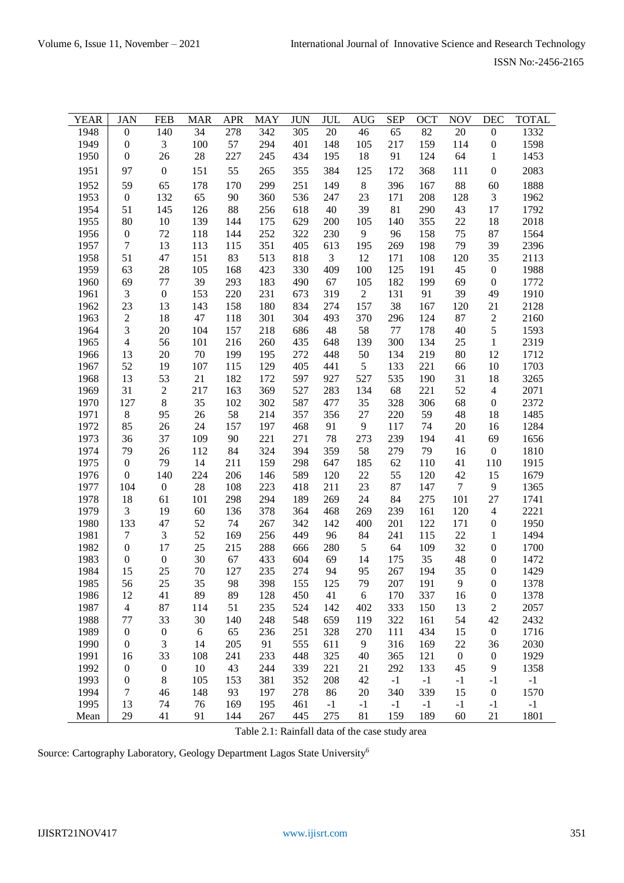| <b>YEAR</b>  | <b>JAN</b>                           | <b>FEB</b>             | <b>MAR</b> | <b>APR</b> | MAY        | <b>JUN</b> | JUL       | <b>AUG</b>     | <b>SEP</b> | <b>OCT</b> | <b>NOV</b>       | <b>DEC</b>                           | <b>TOTAL</b> |
|--------------|--------------------------------------|------------------------|------------|------------|------------|------------|-----------|----------------|------------|------------|------------------|--------------------------------------|--------------|
| 1948         | $\boldsymbol{0}$                     | 140                    | 34         | 278        | 342        | 305        | 20        | 46             | 65         | 82         | $20\,$           | $\boldsymbol{0}$                     | 1332         |
| 1949         | $\boldsymbol{0}$                     | 3                      | 100        | 57         | 294        | 401        | 148       | 105            | 217        | 159        | 114              | $\boldsymbol{0}$                     | 1598         |
| 1950         | $\boldsymbol{0}$                     | 26                     | 28         | 227        | 245        | 434        | 195       | 18             | 91         | 124        | 64               | $\mathbf{1}$                         | 1453         |
| 1951         | 97                                   | $\boldsymbol{0}$       | 151        | 55         | 265        | 355        | 384       | 125            | 172        | 368        | 111              | $\boldsymbol{0}$                     | 2083         |
| 1952         | 59                                   | 65                     | 178        | 170        | 299        | 251        | 149       | $\,8\,$        | 396        | 167        | 88               | 60                                   | 1888         |
| 1953         | $\boldsymbol{0}$                     | 132                    | 65         | 90         | 360        | 536        | 247       | 23             | 171        | 208        | 128              | $\mathfrak{Z}$                       | 1962         |
| 1954         | 51                                   | 145                    | 126        | 88         | 256        | 618        | 40        | 39             | 81         | 290        | 43               | 17                                   | 1792         |
| 1955         | 80                                   | 10                     | 139        | 144        | 175        | 629        | 200       | 105            | 140        | 355        | 22               | 18                                   | 2018         |
| 1956         | $\boldsymbol{0}$                     | 72                     | 118        | 144        | 252        | 322        | 230       | $\overline{9}$ | 96         | 158        | 75               | 87                                   | 1564         |
| 1957         | $\overline{7}$                       | 13                     | 113        | 115        | 351        | 405        | 613       | 195            | 269        | 198        | 79               | 39                                   | 2396         |
| 1958         | 51                                   | 47                     | 151        | 83         | 513        | 818        | 3         | 12             | 171        | 108        | 120              | 35                                   | 2113         |
| 1959         | 63                                   | $28\,$                 | 105        | 168        | 423        | 330        | 409       | 100            | 125        | 191        | 45               | $\boldsymbol{0}$                     | 1988         |
| 1960         | 69                                   | 77                     | 39         | 293        | 183        | 490        | 67        | 105            | 182        | 199        | 69               | $\boldsymbol{0}$                     | 1772         |
| 1961         | 3                                    | $\boldsymbol{0}$       | 153        | 220        | 231        | 673        | 319       | $\overline{2}$ | 131        | 91         | 39               | 49                                   | 1910         |
| 1962         | 23                                   | 13                     | 143        | 158        | 180        | 834        | 274       | 157            | 38         | 167        | 120              | 21                                   | 2128         |
| 1963         | $\sqrt{2}$                           | 18                     | 47         | 118        | 301        | 304        | 493       | 370            | 296        | 124        | 87               | $\sqrt{2}$                           | 2160         |
| 1964         | 3                                    | 20                     | 104        | 157        | 218        | 686        | 48        | 58             | 77         | 178        | 40               | $\mathfrak s$                        | 1593         |
| 1965         | $\overline{4}$                       | 56                     | 101        | 216        | 260        | 435        | 648       | 139            | 300        | 134        | 25               | $\mathbf{1}$                         | 2319         |
| 1966         | 13                                   | $20\,$                 | 70         | 199        | 195        | 272        | 448       | 50             | 134        | 219        | 80               | 12                                   | 1712         |
| 1967         | 52                                   | 19                     | 107        | 115        | 129        | 405        | 441       | 5              | 133        | 221        | 66               | $10\,$                               | 1703         |
| 1968         | 13                                   | 53                     | 21         | 182        | 172        | 597        | 927       | 527            | 535        | 190        | 31               | 18                                   | 3265         |
| 1969         | 31                                   | $\mathbf{2}$           | 217        | 163        | 369        | 527        | 283       | 134            | 68         | 221        | 52               | $\overline{4}$                       | 2071         |
| 1970         | 127                                  | $\,8\,$                | 35         | 102        | 302        | 587        | 477       | 35             | 328        | 306        | 68               | $\boldsymbol{0}$                     | 2372         |
| 1971         | $8\,$                                | 95                     | 26         | 58         | 214        | 357        | 356       | 27             | 220        | 59         | 48               | 18                                   | 1485         |
| 1972         | 85                                   | 26                     | 24         | 157        | 197        | 468        | 91        | $\overline{9}$ | 117        | 74         | $20\,$           | 16                                   | 1284         |
| 1973         | 36                                   | 37                     | 109        | 90         | 221        | 271        | 78        | 273            | 239        | 194        | 41               | 69                                   | 1656         |
| 1974         | 79                                   | 26                     | 112        | 84         | 324        | 394        | 359       | 58             | 279        | 79         | 16               | $\boldsymbol{0}$                     | 1810         |
| 1975         | $\boldsymbol{0}$                     | 79                     | 14         | 211        | 159        | 298        | 647       | 185            | 62         | 110        | 41               | 110                                  | 1915         |
| 1976         | $\boldsymbol{0}$                     | 140                    | 224        | 206        | 146        | 589        | 120       | $22\,$         | 55         | 120        | 42               | 15                                   | 1679         |
| 1977         | 104                                  | $\boldsymbol{0}$       | 28         | 108        | 223        | 418        | 211       | 23             | 87         | 147        | $\tau$           | 9                                    | 1365         |
| 1978         | 18                                   | 61                     | 101        | 298        | 294        | 189        | 269       | 24             | 84         | 275        | 101              | 27                                   | 1741         |
| 1979         | 3                                    | 19                     | 60         | 136        | 378        | 364        | 468       | 269            | 239        | 161        | 120              | $\overline{4}$                       | 2221         |
| 1980         | 133                                  | 47                     | 52         | 74         | 267        | 342        | 142       | 400            | 201        | 122        | 171              | $\boldsymbol{0}$                     | 1950         |
| 1981         | $\boldsymbol{7}$<br>$\boldsymbol{0}$ | $\mathfrak{Z}$         | 52         | 169        | 256        | 449        | 96        | 84<br>5        | 241<br>64  | 115        | $22\,$           | $\mathbf{1}$                         | 1494         |
| 1982<br>1983 | $\boldsymbol{0}$                     | 17<br>$\boldsymbol{0}$ | 25<br>30   | 215<br>67  | 288<br>433 | 666<br>604 | 280<br>69 | 14             | 175        | 109<br>35  | 32<br>48         | $\boldsymbol{0}$<br>$\boldsymbol{0}$ | 1700<br>1472 |
| 1984         | 15                                   | 25                     | 70         | 127        | 235        | 274        | 94        | 95             | 267        | 194        | 35               | $\boldsymbol{0}$                     | 1429         |
| 1985         | 56                                   | 25                     | 35         | 98         | 398        | 155        | 125       | 79             | 207        | 191        | 9                | $\boldsymbol{0}$                     | 1378         |
| 1986         | 12                                   | 41                     | 89         | 89         | 128        | 450        | 41        | $6\,$          | 170        | 337        | 16               | $\boldsymbol{0}$                     | 1378         |
| 1987         | $\overline{4}$                       | 87                     | 114        | 51         | 235        | 524        | 142       | 402            | 333        | 150        | 13               | $\overline{c}$                       | 2057         |
| 1988         | 77                                   | 33                     | 30         | 140        | 248        | 548        | 659       | 119            | 322        | 161        | 54               | 42                                   | 2432         |
| 1989         | $\boldsymbol{0}$                     | $\boldsymbol{0}$       | 6          | 65         | 236        | 251        | 328       | 270            | 111        | 434        | 15               | $\boldsymbol{0}$                     | 1716         |
| 1990         | $\boldsymbol{0}$                     | 3                      | 14         | 205        | 91         | 555        | 611       | 9              | 316        | 169        | 22               | 36                                   | 2030         |
| 1991         | 16                                   | 33                     | 108        | 241        | 233        | 448        | 325       | 40             | 365        | 121        | $\boldsymbol{0}$ | $\boldsymbol{0}$                     | 1929         |
| 1992         | $\boldsymbol{0}$                     | $\boldsymbol{0}$       | $10\,$     | 43         | 244        | 339        | 221       | 21             | 292        | 133        | 45               | 9                                    | 1358         |
| 1993         | $\boldsymbol{0}$                     | $\,8\,$                | 105        | 153        | 381        | 352        | 208       | 42             | $-1$       | $-1$       | $-1$             | $-1$                                 | $-1$         |
| 1994         | 7                                    | 46                     | 148        | 93         | 197        | 278        | 86        | 20             | 340        | 339        | 15               | $\boldsymbol{0}$                     | 1570         |
| 1995         | 13                                   | 74                     | 76         | 169        | 195        | 461        | $-1$      | $-1$           | $-1$       | $-1$       | $-1$             | $-1$                                 | $-1$         |
| Mean         | 29                                   | 41                     | 91         | 144        | 267        | 445        | 275       | 81             | 159        | 189        | 60               | 21                                   | 1801         |

Table 2.1: Rainfall data of the case study area

Source: Cartography Laboratory, Geology Department Lagos State University<sup>6</sup>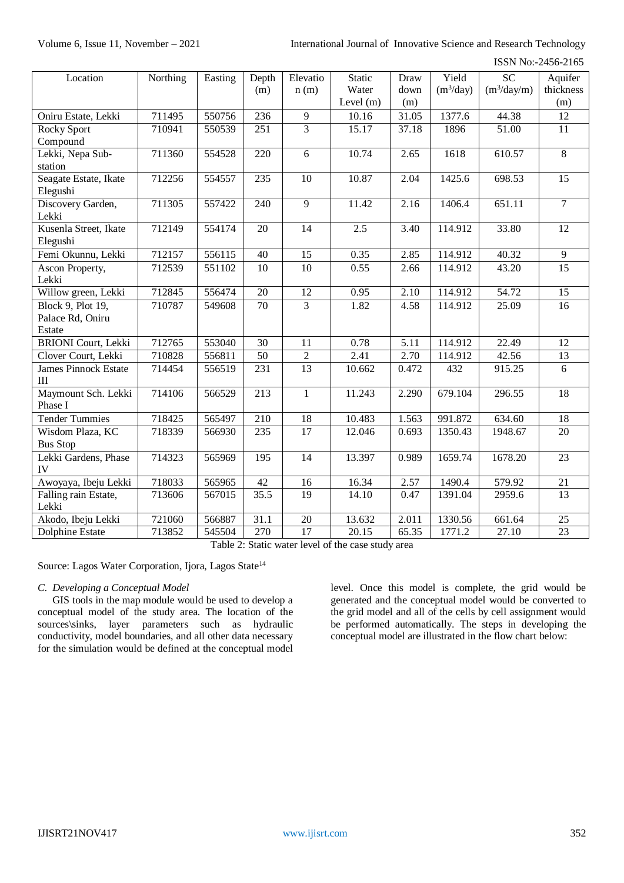| Location                                 | Northing | Easting | Depth<br>(m) | Elevatio<br>n(m) | <b>Static</b><br>Water<br>Level $(m)$ | Draw<br>down<br>(m) | Yield<br>$(m^3/day)$ | $\overline{SC}$<br>$(m^3/day/m)$ | Aquifer<br>thickness<br>(m) |
|------------------------------------------|----------|---------|--------------|------------------|---------------------------------------|---------------------|----------------------|----------------------------------|-----------------------------|
| Oniru Estate, Lekki                      | 711495   | 550756  | 236          | 9                | 10.16                                 | 31.05               | 1377.6               | 44.38                            | 12                          |
| <b>Rocky Sport</b>                       | 710941   | 550539  | 251          | $\overline{3}$   | 15.17                                 | 37.18               | 1896                 | 51.00                            | 11                          |
| Compound                                 |          |         |              |                  |                                       |                     |                      |                                  |                             |
| Lekki, Nepa Sub-                         | 711360   | 554528  | 220          | 6                | 10.74                                 | 2.65                | 1618                 | 610.57                           | $\overline{8}$              |
| station                                  |          |         |              |                  |                                       |                     |                      |                                  |                             |
| Seagate Estate, Ikate<br>Elegushi        | 712256   | 554557  | 235          | 10               | 10.87                                 | 2.04                | 1425.6               | 698.53                           | $\overline{15}$             |
| Discovery Garden,<br>Lekki               | 711305   | 557422  | 240          | 9                | 11.42                                 | 2.16                | 1406.4               | 651.11                           | $\overline{7}$              |
| Kusenla Street, Ikate<br>Elegushi        | 712149   | 554174  | 20           | 14               | 2.5                                   | 3.40                | 114.912              | 33.80                            | 12                          |
| Femi Okunnu, Lekki                       | 712157   | 556115  | 40           | 15               | 0.35                                  | 2.85                | 114.912              | 40.32                            | 9                           |
| Ascon Property,<br>Lekki                 | 712539   | 551102  | 10           | 10               | 0.55                                  | 2.66                | 114.912              | 43.20                            | $\overline{15}$             |
| Willow green, Lekki                      | 712845   | 556474  | 20           | 12               | 0.95                                  | 2.10                | 114.912              | 54.72                            | 15                          |
| Block 9, Plot 19,                        | 710787   | 549608  | 70           | 3                | 1.82                                  | 4.58                | 114.912              | 25.09                            | 16                          |
| Palace Rd, Oniru                         |          |         |              |                  |                                       |                     |                      |                                  |                             |
| Estate                                   |          |         |              |                  |                                       |                     |                      |                                  |                             |
| <b>BRIONI</b> Court, Lekki               | 712765   | 553040  | 30           | 11               | 0.78                                  | 5.11                | 114.912              | 22.49                            | 12                          |
| Clover Court, Lekki                      | 710828   | 556811  | 50           | $\overline{2}$   | 2.41                                  | 2.70                | 114.912              | 42.56                            | 13                          |
| <b>James Pinnock Estate</b><br>$\rm III$ | 714454   | 556519  | 231          | $\overline{13}$  | 10.662                                | 0.472               | 432                  | 915.25                           | 6                           |
| Maymount Sch. Lekki<br>Phase I           | 714106   | 566529  | 213          | $\mathbf{1}$     | 11.243                                | 2.290               | 679.104              | 296.55                           | 18                          |
| <b>Tender Tummies</b>                    | 718425   | 565497  | 210          | 18               | 10.483                                | 1.563               | 991.872              | 634.60                           | 18                          |
| Wisdom Plaza, KC<br><b>Bus Stop</b>      | 718339   | 566930  | 235          | 17               | 12.046                                | 0.693               | 1350.43              | 1948.67                          | 20                          |
| Lekki Gardens, Phase<br>IV               | 714323   | 565969  | 195          | 14               | 13.397                                | 0.989               | 1659.74              | 1678.20                          | $\overline{23}$             |
| Awoyaya, Ibeju Lekki                     | 718033   | 565965  | 42           | 16               | 16.34                                 | 2.57                | 1490.4               | 579.92                           | 21                          |
| Falling rain Estate,<br>Lekki            | 713606   | 567015  | 35.5         | 19               | 14.10                                 | 0.47                | 1391.04              | 2959.6                           | 13                          |
| Akodo, Ibeju Lekki                       | 721060   | 566887  | 31.1         | 20               | 13.632                                | 2.011               | 1330.56              | 661.64                           | 25                          |
| <b>Dolphine Estate</b>                   | 713852   | 545504  | 270          | 17               | 20.15                                 | 65.35               | 1771.2               | 27.10                            | 23                          |

Table 2: Static water level of the case study area

Source: Lagos Water Corporation, Ijora, Lagos State<sup>14</sup>

#### *C. Developing a Conceptual Model*

GIS tools in the map module would be used to develop a conceptual model of the study area. The location of the sources\sinks, layer parameters such as hydraulic conductivity, model boundaries, and all other data necessary for the simulation would be defined at the conceptual model level. Once this model is complete, the grid would be generated and the conceptual model would be converted to the grid model and all of the cells by cell assignment would be performed automatically. The steps in developing the conceptual model are illustrated in the flow chart below: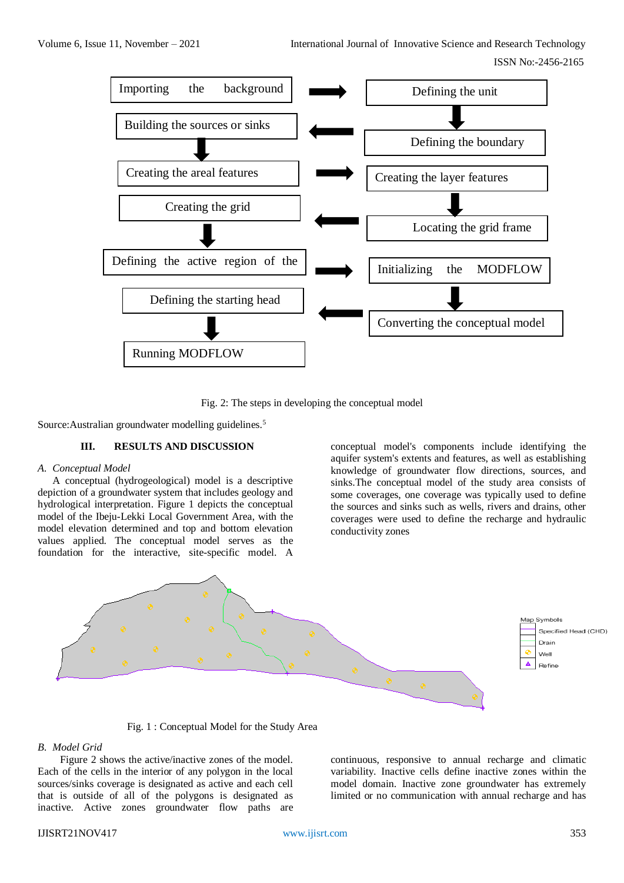

Fig. 2: The steps in developing the conceptual model

Source:Australian groundwater modelling guidelines.<sup>5</sup>

## **III. RESULTS AND DISCUSSION**

#### *A. Conceptual Model*

A conceptual (hydrogeological) model is a descriptive depiction of a groundwater system that includes geology and hydrological interpretation. Figure 1 depicts the conceptual model of the Ibeju-Lekki Local Government Area, with the model elevation determined and top and bottom elevation values applied. The conceptual model serves as the foundation for the interactive, site-specific model. A

conceptual model's components include identifying the aquifer system's extents and features, as well as establishing knowledge of groundwater flow directions, sources, and sinks.The conceptual model of the study area consists of some coverages, one coverage was typically used to define the sources and sinks such as wells, rivers and drains, other coverages were used to define the recharge and hydraulic conductivity zones



Fig. 1 : Conceptual Model for the Study Area

#### *B. Model Grid*

Figure 2 shows the active/inactive zones of the model. Each of the cells in the interior of any polygon in the local sources/sinks coverage is designated as active and each cell that is outside of all of the polygons is designated as inactive. Active zones groundwater flow paths are continuous, responsive to annual recharge and climatic variability. Inactive cells define inactive zones within the model domain. Inactive zone groundwater has extremely limited or no communication with annual recharge and has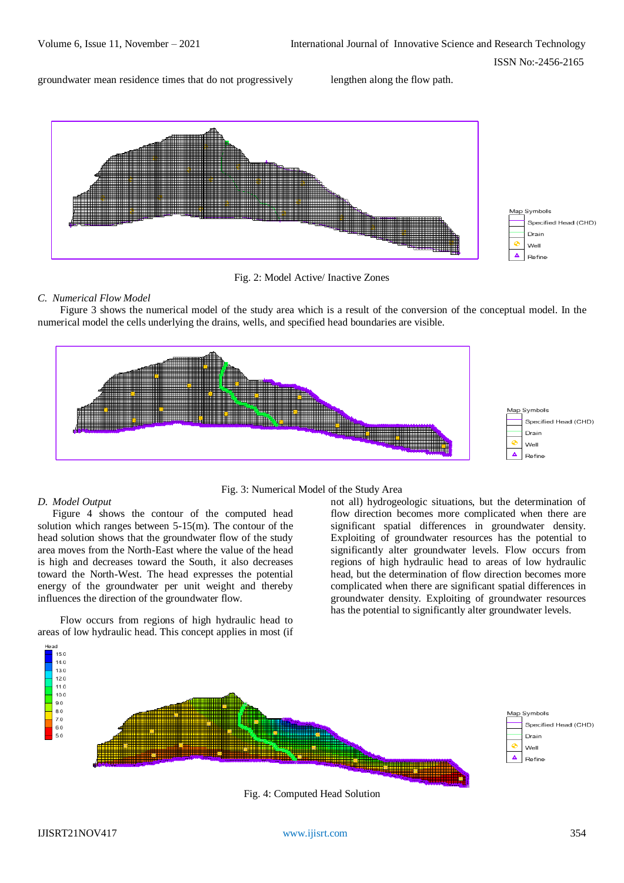groundwater mean residence times that do not progressively lengthen along the flow path.





## *C. Numerical Flow Model*

Figure 3 shows the numerical model of the study area which is a result of the conversion of the conceptual model. In the numerical model the cells underlying the drains, wells, and specified head boundaries are visible.





## *D. Model Output*

Figure 4 shows the contour of the computed head solution which ranges between 5-15(m). The contour of the head solution shows that the groundwater flow of the study area moves from the North-East where the value of the head is high and decreases toward the South, it also decreases toward the North-West. The head expresses the potential energy of the groundwater per unit weight and thereby influences the direction of the groundwater flow.

Flow occurs from regions of high hydraulic head to areas of low hydraulic head. This concept applies in most (if not all) hydrogeologic situations, but the determination of flow direction becomes more complicated when there are significant spatial differences in groundwater density. Exploiting of groundwater resources has the potential to significantly alter groundwater levels. Flow occurs from regions of high hydraulic head to areas of low hydraulic head, but the determination of flow direction becomes more complicated when there are significant spatial differences in groundwater density. Exploiting of groundwater resources has the potential to significantly alter groundwater levels.



Fig. 4: Computed Head Solution